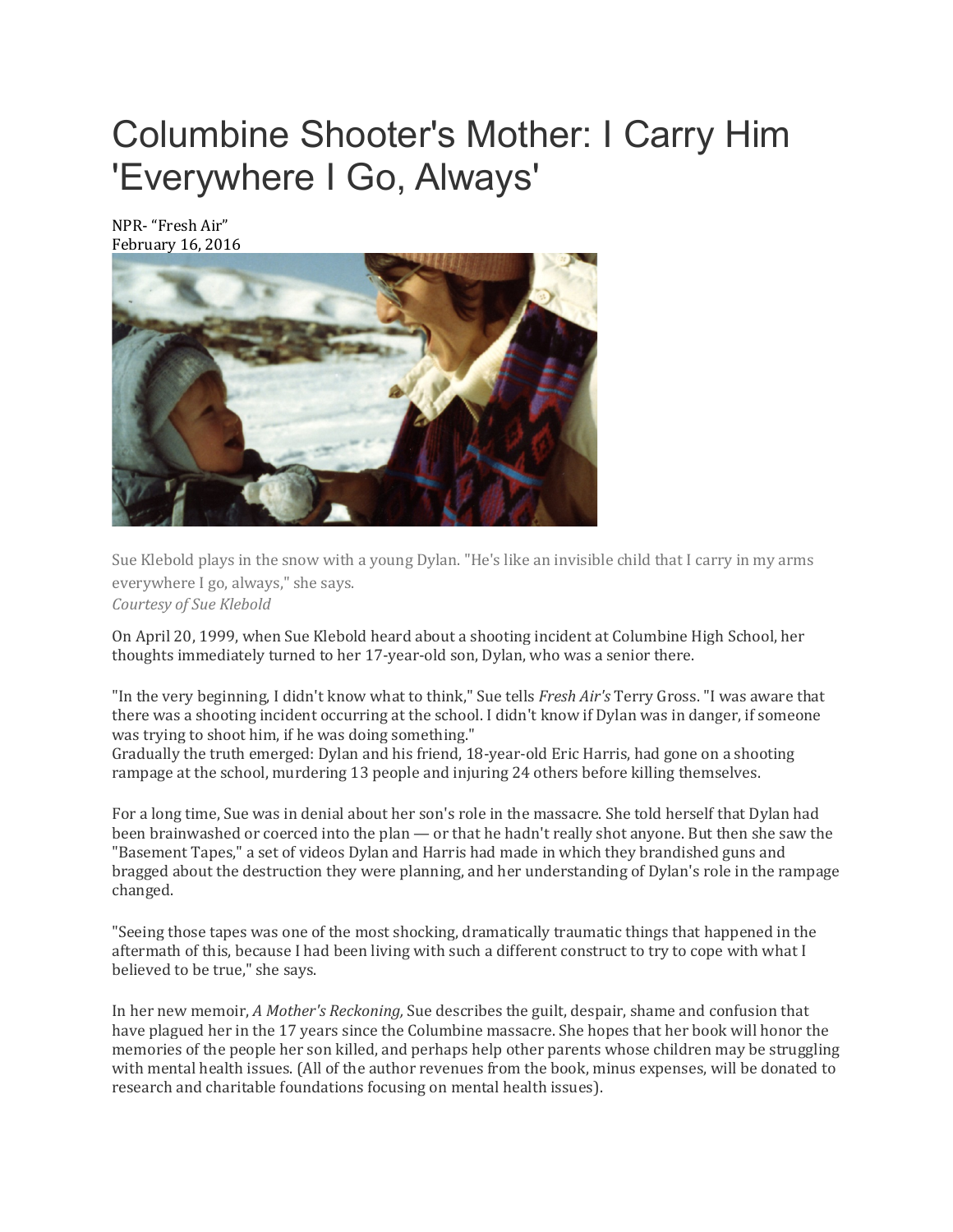# Columbine Shooter's Mother: I Carry Him 'Everywhere I Go, Always'

NPR- "Fresh Air" February 16, 2016



Sue Klebold plays in the snow with a young Dylan. "He's like an invisible child that I carry in my arms everywhere I go, always," she says. *Courtesy of Sue Klebold*

On April 20, 1999, when Sue Klebold heard about a shooting incident at Columbine High School, her thoughts immediately turned to her 17-year-old son, Dylan, who was a senior there.

"In the very beginning, I didn't know what to think," Sue tells *Fresh Air's* Terry Gross. "I was aware that there was a shooting incident occurring at the school. I didn't know if Dylan was in danger, if someone was trying to shoot him, if he was doing something."

Gradually the truth emerged: Dylan and his friend, 18-year-old Eric Harris, had gone on a shooting rampage at the school, murdering 13 people and injuring 24 others before killing themselves.

For a long time, Sue was in denial about her son's role in the massacre. She told herself that Dylan had been brainwashed or coerced into the plan — or that he hadn't really shot anyone. But then she saw the "Basement Tapes," a set of videos Dylan and Harris had made in which they brandished guns and bragged about the destruction they were planning, and her understanding of Dylan's role in the rampage changed.

"Seeing those tapes was one of the most shocking, dramatically traumatic things that happened in the aftermath of this, because I had been living with such a different construct to try to cope with what I believed to be true," she says.

In her new memoir, *A Mother's Reckoning,* Sue describes the guilt, despair, shame and confusion that have plagued her in the 17 years since the Columbine massacre. She hopes that her book will honor the memories of the people her son killed, and perhaps help other parents whose children may be struggling with mental health issues. (All of the author revenues from the book, minus expenses, will be donated to research and charitable foundations focusing on mental health issues).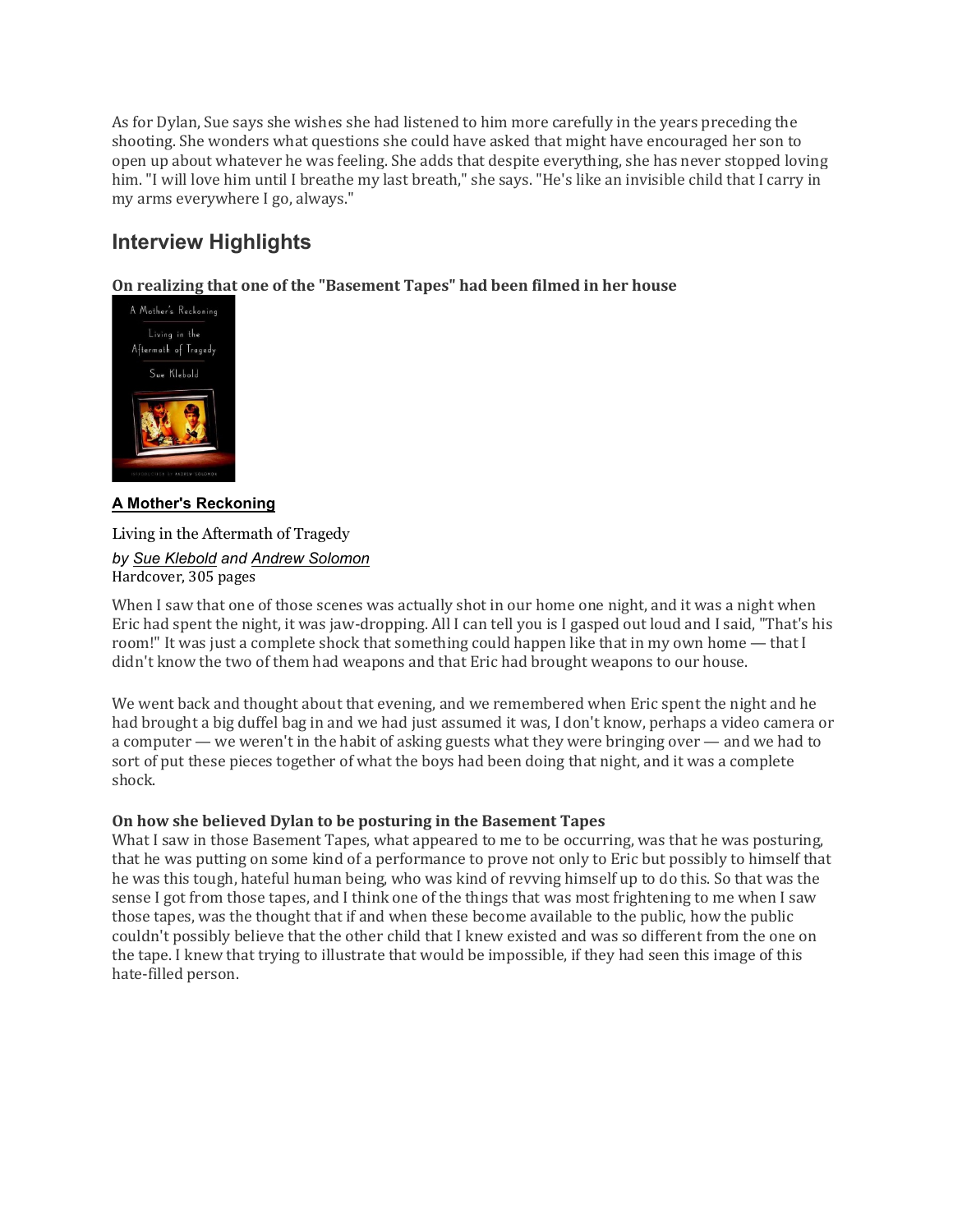As for Dylan, Sue says she wishes she had listened to him more carefully in the years preceding the shooting. She wonders what questions she could have asked that might have encouraged her son to open up about whatever he was feeling. She adds that despite everything, she has never stopped loving him. "I will love him until I breathe my last breath," she says. "He's like an invisible child that I carry in my arms everywhere I go, always."

# **Interview Highlights**

**On [realizing](https://www.npr.org/books/titles/466618848/a-mothers-reckoning-living-in-the-aftermath-of-tragedy) that one of the "Basement Tapes" had been filmed in her house**



# **A Mother's [Reckoning](https://www.npr.org/books/titles/466618848/a-mothers-reckoning-living-in-the-aftermath-of-tragedy)**

Living in the Aftermath of Tragedy *by Sue [Klebold](https://www.npr.org/books/authors/466618853/sue-klebold) and Andrew [Solomon](https://www.npr.org/books/authors/162722278/andrew-solomon)* Hardcover, 305 pages

When I saw that one of those scenes was actually shot in our home one night, and it was a night when Eric had spent the night, it was jaw-dropping. All I can tell you is I gasped out loud and I said, "That's his room!" It was just a complete shock that something could happen like that in my own home — that I didn't know the two of them had weapons and that Eric had brought weapons to our house.

We went back and thought about that evening, and we remembered when Eric spent the night and he had brought a big duffel bag in and we had just assumed it was, I don't know, perhaps a video camera or a computer — we weren't in the habit of asking guests what they were bringing over — and we had to sort of put these pieces together of what the boys had been doing that night, and it was a complete shock.

# **On how she believed Dylan to be posturing in the Basement Tapes**

What I saw in those Basement Tapes, what appeared to me to be occurring, was that he was posturing, that he was putting on some kind of a performance to prove not only to Eric but possibly to himself that he was this tough, hateful human being, who was kind of revving himself up to do this. So that was the sense I got from those tapes, and I think one of the things that was most frightening to me when I saw those tapes, was the thought that if and when these become available to the public, how the public couldn't possibly believe that the other child that I knew existed and was so different from the one on the tape. I knew that trying to illustrate that would be impossible, if they had seen this image of this hate-filled person.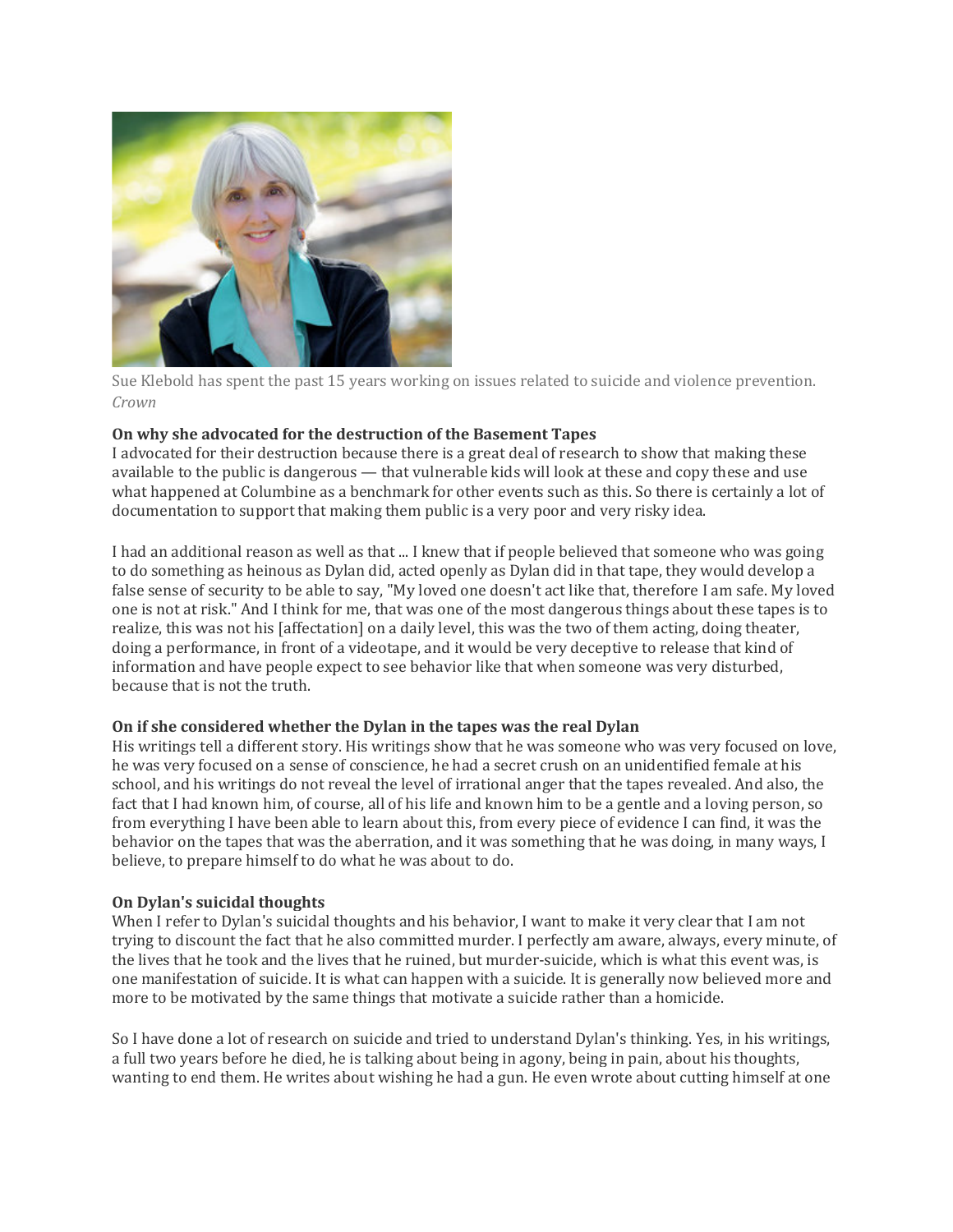

Sue Klebold has spent the past 15 years working on issues related to suicide and violence prevention. *Crown*

## **On why she advocated for the destruction of the Basement Tapes**

I advocated for their destruction because there is a great deal of research to show that making these available to the public is dangerous — that vulnerable kids will look at these and copy these and use what happened at Columbine as a benchmark for other events such as this. So there is certainly a lot of documentation to support that making them public is a very poor and very risky idea.

I had an additional reason as well as that ... I knew that if people believed that someone who was going to do something as heinous as Dylan did, acted openly as Dylan did in that tape, they would develop a false sense of security to be able to say, "My loved one doesn't act like that, therefore I am safe. My loved one is not at risk." And I think for me, that was one of the most dangerous things about these tapes is to realize, this was not his [affectation] on a daily level, this was the two of them acting, doing theater, doing a performance, in front of a videotape, and it would be very deceptive to release that kind of information and have people expect to see behavior like that when someone was very disturbed, because that is not the truth.

# **On if she considered whether the Dylan in the tapes was the real Dylan**

His writings tell a different story. His writings show that he was someone who was very focused on love, he was very focused on a sense of conscience, he had a secret crush on an unidentified female at his school, and his writings do not reveal the level of irrational anger that the tapes revealed. And also, the fact that I had known him, of course, all of his life and known him to be a gentle and a loving person, so from everything I have been able to learn about this, from every piece of evidence I can find, it was the behavior on the tapes that was the aberration, and it was something that he was doing, in many ways, I believe, to prepare himself to do what he was about to do.

### **On Dylan's suicidal thoughts**

When I refer to Dylan's suicidal thoughts and his behavior, I want to make it very clear that I am not trying to discount the fact that he also committed murder. I perfectly am aware, always, every minute, of the lives that he took and the lives that he ruined, but murder-suicide, which is what this event was, is one manifestation of suicide. It is what can happen with a suicide. It is generally now believed more and more to be motivated by the same things that motivate a suicide rather than a homicide.

So I have done a lot of research on suicide and tried to understand Dylan's thinking. Yes, in his writings, a full two years before he died, he is talking about being in agony, being in pain, about his thoughts, wanting to end them. He writes about wishing he had a gun. He even wrote about cutting himself at one